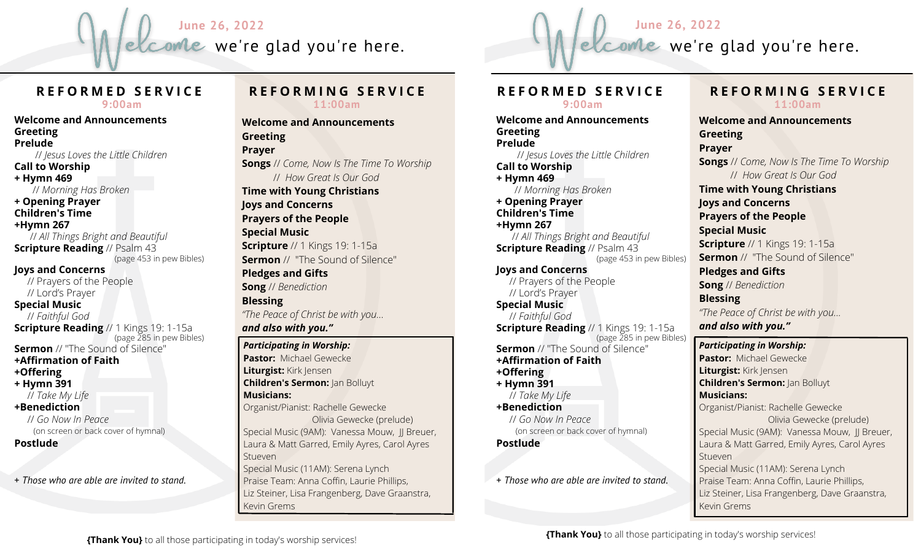



# **R E F O R M E D S E R V I C E**

**9:00am**

**Welcome and Announcements Greeting Prelude** // *Jesus Loves the Little Children* **Call to Worship + Hymn 469** // *Morning Has Broken* **+ Opening Prayer Children's Time +Hymn 267** // *All Things Bright and Beautiful* **Scripture Reading** // Psalm 43 (page 453 in pew Bibles) **Joys and Concerns** // Prayers of the People // Lord's Prayer **Special Music** // *Faithful God* **Scripture Reading** // 1 Kings 19: 1-15a (page 285 in pew Bibles) **Sermon** // "The Sound of Silence" **+Affirmation of Faith +Offering + Hymn 391** // *Take My Life* **+Benediction** // *Go Now In Peace* (on screen or back cover of hymnal) **Postlude** + *Those who are able are invited to stand.*

#### **R E F O R M I N G S E R V I C E 11:00am**

**Welcome and Announcements Greeting Prayer Songs** // *Come, Now Is The Time To Worship* // *How Great Is Our God* **Time with Young Christians Joys and Concerns Prayers of the People Special Music Scripture** // 1 Kings 19: 1-15a **Sermon** // "The Sound of Silence" **Pledges and Gifts Song** // *Benediction* **Blessing** *"The Peace of Christ be with you... and also with you." Participating in Worship:* **Pastor:** Michael Gewecke **Liturgist:** Kirk Jensen **Children's Sermon:** Jan Bolluyt **Musicians:** Organist/Pianist: Rachelle Gewecke Olivia Gewecke (prelude) Special Music (9AM): Vanessa Mouw, JJ Breuer, Laura & Matt Garred, Emily Ayres, Carol Ayres Stueven

Special Music (11AM): Serena Lynch Praise Team: Anna Coffin, Laurie Phillips, Liz Steiner, Lisa Frangenberg, Dave Graanstra, Kevin Grems

### **R E F O R M E D S E R V I C E 9:00am**

**Welcome and Announcements Greeting Prelude** // *Jesus Loves the Little Children* **Call to Worship + Hymn 469** // *Morning Has Broken* **+ Opening Prayer Children's Time +Hymn 267** // *All Things Bright and Beautiful* **Scripture Reading** // Psalm 43 (page 453 in pew Bibles) **Joys and Concerns** // Prayers of the People // Lord's Prayer **Special Music** // *Faithful God* **Scripture Reading** // 1 Kings 19: 1-15a (page 285 in pew Bibles) **Sermon** // "The Sound of Silence" **+Affirmation of Faith +Offering + Hymn 391** // *Take My Life* **+Benediction** // *Go Now In Peace* (on screen or back cover of hymnal) **Postlude**

+ *Those who are able are invited to stand.*

# **R E F O R M I N G S E R V I C E 11:00am**

**Welcome and Announcements Greeting Prayer Songs** // *Come, Now Is The Time To Worship* // *How Great Is Our God* **Time with Young Christians Joys and Concerns Prayers of the People Special Music Scripture** // 1 Kings 19: 1-15a **Sermon** // "The Sound of Silence" **Pledges and Gifts Song** // *Benediction* **Blessing** *"The Peace of Christ be with you... and also with you."*

#### *Participating in Worship:*

**Pastor:** Michael Gewecke **Liturgist:** Kirk Jensen **Children's Sermon:** Jan Bolluyt **Musicians:** Organist/Pianist: Rachelle Gewecke Olivia Gewecke (prelude) Special Music (9AM): Vanessa Mouw, JJ Breuer, Laura & Matt Garred, Emily Ayres, Carol Ayres **Stueven** Special Music (11AM): Serena Lynch Praise Team: Anna Coffin, Laurie Phillips, Liz Steiner, Lisa Frangenberg, Dave Graanstra, Kevin Grems